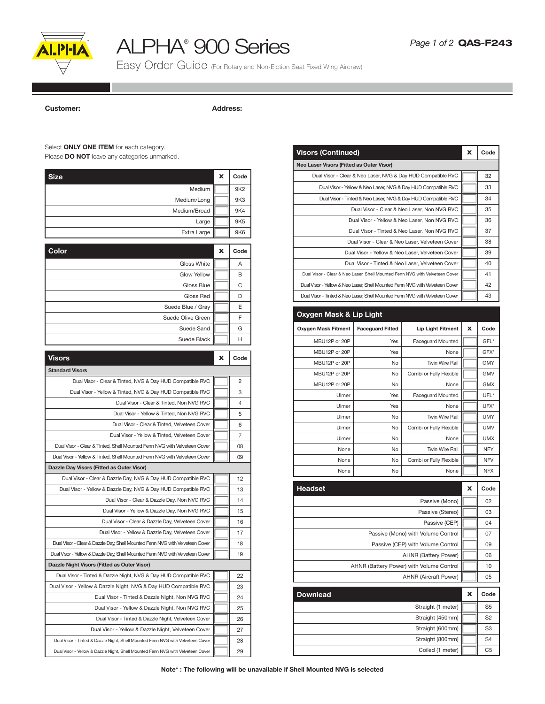

## ALPHA® 900 Series

Easy Order Guide (For Rotary and Non-Ejction Seat Fixed Wing Aircrew)

Customer: Address:

## Select **ONLY ONE ITEM** for each category.

Please **DO NOT** leave any categories unmarked.

| <b>Size</b>                                                                     | x | Code            |
|---------------------------------------------------------------------------------|---|-----------------|
| Medium                                                                          |   | 9K2             |
| Medium/Long                                                                     |   | 9K3             |
| Medium/Broad                                                                    |   | 9K4             |
| Large                                                                           |   | 9K <sub>5</sub> |
| Extra Large                                                                     |   | 9K6             |
|                                                                                 |   |                 |
| Color                                                                           | x | Code            |
| <b>Gloss White</b>                                                              |   | Α               |
| Glow Yellow                                                                     |   | в               |
| Gloss Blue                                                                      |   | С               |
| Gloss Red                                                                       |   | D               |
| Suede Blue / Gray                                                               |   | Ε               |
| Suede Olive Green                                                               |   | F               |
| Suede Sand                                                                      |   | G               |
| Suede Black                                                                     |   | н               |
| <b>Visors</b>                                                                   | x | Code            |
| <b>Standard Visors</b>                                                          |   |                 |
| Dual Visor - Clear & Tinted, NVG & Day HUD Compatible RVC                       |   | 2               |
| Dual Visor - Yellow & Tinted, NVG & Day HUD Compatible RVC                      |   | 3               |
| Dual Visor - Clear & Tinted, Non NVG RVC                                        |   | 4               |
| Dual Visor - Yellow & Tinted, Non NVG RVC                                       |   | 5               |
| Dual Visor - Clear & Tinted, Velveteen Cover                                    |   | 6               |
| Dual Visor - Yellow & Tinted, Velveteen Cover                                   |   | 7               |
| Dual Visor - Clear & Tinted, Shell Mounted Fenn NVG with Velveteen Cover        |   | 08              |
| Dual Visor - Yellow & Tinted, Shell Mounted Fenn NVG with Velveteen Cover       |   | 09              |
| Dazzle Day Visors (Fitted as Outer Visor)                                       |   |                 |
| Dual Visor - Clear & Dazzle Day, NVG & Day HUD Compatible RVC                   |   | 12              |
| Dual Visor - Yellow & Dazzle Day, NVG & Day HUD Compatible RVC                  |   | 13              |
| Dual Visor - Clear & Dazzle Day, Non NVG RVC                                    |   | 14              |
| Dual Visor - Yellow & Dazzle Day, Non NVG RVC                                   |   | 15              |
| Dual Visor - Clear & Dazzle Day, Velveteen Cover                                |   | 16              |
| Dual Visor - Yellow & Dazzle Day, Velveteen Cover                               |   | 17              |
| Dual Visor - Clear & Dazzle Day, Shell Mounted Fenn NVG with Velveteen Cover    |   | 18              |
| Dual Visor - Yellow & Dazzle Day, Shell Mounted Fenn NVG with Velveteen Cover   |   | 19              |
| Dazzle Night Visors (Fitted as Outer Visor)                                     |   |                 |
| Dual Visor - Tinted & Dazzle Night, NVG & Day HUD Compatible RVC                |   | 22              |
| Dual Visor - Yellow & Dazzle Night, NVG & Day HUD Compatible RVC                |   | 23              |
| Dual Visor - Tinted & Dazzle Night, Non NVG RVC                                 |   | 24              |
| Dual Visor - Yellow & Dazzle Night, Non NVG RVC                                 |   | 25              |
| Dual Visor - Tinted & Dazzle Night, Velveteen Cover                             |   | 26              |
| Dual Visor - Yellow & Dazzle Night, Velveteen Cover                             |   | 27              |
| Dual Visor - Tinted & Dazzle Night, Shell Mounted Fenn NVG with Velveteen Cover |   | 28              |
| Dual Visor - Yellow & Dazzle Night, Shell Mounted Fenn NVG with Velveteen Cover |   | 29              |

| <b>Visors (Continued)</b>                                                |                               |                                                                              | x          | Code       |  |  |
|--------------------------------------------------------------------------|-------------------------------|------------------------------------------------------------------------------|------------|------------|--|--|
| Neo Laser Visors (Fitted as Outer Visor)                                 |                               |                                                                              |            |            |  |  |
|                                                                          |                               | Dual Visor - Clear & Neo Laser, NVG & Day HUD Compatible RVC                 |            | 32         |  |  |
|                                                                          |                               | Dual Visor - Yellow & Neo Laser, NVG & Day HUD Compatible RVC                |            | 33         |  |  |
|                                                                          |                               | Dual Visor - Tinted & Neo Laser, NVG & Day HUD Compatible RVC                |            | 34         |  |  |
|                                                                          |                               | Dual Visor - Clear & Neo Laser, Non NVG RVC                                  |            | 35         |  |  |
|                                                                          |                               | Dual Visor - Yellow & Neo Laser, Non NVG RVC                                 |            | 36         |  |  |
|                                                                          |                               | Dual Visor - Tinted & Neo Laser, Non NVG RVC                                 |            | 37         |  |  |
|                                                                          |                               | Dual Visor - Clear & Neo Laser, Velveteen Cover                              |            | 38         |  |  |
|                                                                          |                               | Dual Visor - Yellow & Neo Laser, Velveteen Cover                             |            | 39         |  |  |
|                                                                          |                               | Dual Visor - Tinted & Neo Laser, Velveteen Cover                             |            | 40         |  |  |
|                                                                          |                               | Dual Visor - Clear & Neo Laser, Shell Mounted Fenn NVG with Velveteen Cover  |            | 41         |  |  |
|                                                                          |                               | Dual Visor - Yellow & Neo Laser, Shell Mounted Fenn NVG with Velveteen Cover |            | 42         |  |  |
|                                                                          |                               | Dual Visor - Tinted & Neo Laser, Shell Mounted Fenn NVG with Velveteen Cover |            | 43         |  |  |
| Oxygen Mask & Lip Light                                                  |                               |                                                                              |            |            |  |  |
|                                                                          |                               |                                                                              |            |            |  |  |
| Oxygen Mask Fitment                                                      | <b>Faceguard Fitted</b>       | <b>Lip Light Fitment</b>                                                     | X          | Code       |  |  |
| MBU12P or 20P                                                            | Yes                           | <b>Faceguard Mounted</b>                                                     |            | GFL*       |  |  |
| MBU12P or 20P                                                            | Yes                           | None                                                                         |            | GFX*       |  |  |
| MBU12P or 20P                                                            | No                            | <b>Twin Wire Rail</b>                                                        |            | GMY        |  |  |
| MBU12P or 20P                                                            | Combi or Fully Flexible<br>No |                                                                              |            |            |  |  |
| MBU12P or 20P                                                            | No<br>None                    |                                                                              |            | <b>GMX</b> |  |  |
| Ulmer<br>Yes<br><b>Faceguard Mounted</b>                                 |                               |                                                                              | UFL*       |            |  |  |
| Ulmer                                                                    | Yes<br>None                   |                                                                              |            | UFX*       |  |  |
| Ulmer                                                                    | Twin Wire Rail<br>No          |                                                                              |            | UMY        |  |  |
| Ulmer                                                                    | No                            |                                                                              | <b>UMV</b> |            |  |  |
| Ulmer                                                                    | No                            | None                                                                         |            | <b>UMX</b> |  |  |
| None                                                                     | No                            | Twin Wire Rail                                                               |            | NFY        |  |  |
| None                                                                     | No                            | Combi or Fully Flexible                                                      |            | <b>NFV</b> |  |  |
| None                                                                     | No                            | None                                                                         |            | <b>NFX</b> |  |  |
| <b>Headset</b>                                                           |                               |                                                                              | x          | Code       |  |  |
|                                                                          |                               | Passive (Mono)                                                               |            | 02         |  |  |
|                                                                          |                               | Passive (Stereo)                                                             |            | 03         |  |  |
|                                                                          |                               | 04                                                                           |            |            |  |  |
|                                                                          |                               | 07                                                                           |            |            |  |  |
|                                                                          |                               | 09                                                                           |            |            |  |  |
|                                                                          |                               | 06                                                                           |            |            |  |  |
|                                                                          |                               | 10                                                                           |            |            |  |  |
| AHNR (Battery Power) with Volume Control<br><b>AHNR (Aircraft Power)</b> |                               |                                                                              |            | 05         |  |  |
|                                                                          |                               |                                                                              |            |            |  |  |
| <b>Downlead</b>                                                          | x                             | Code                                                                         |            |            |  |  |
|                                                                          |                               | S5                                                                           |            |            |  |  |
|                                                                          |                               | S <sub>2</sub>                                                               |            |            |  |  |
|                                                                          |                               | S3                                                                           |            |            |  |  |
|                                                                          |                               | S4                                                                           |            |            |  |  |
|                                                                          |                               | C5                                                                           |            |            |  |  |